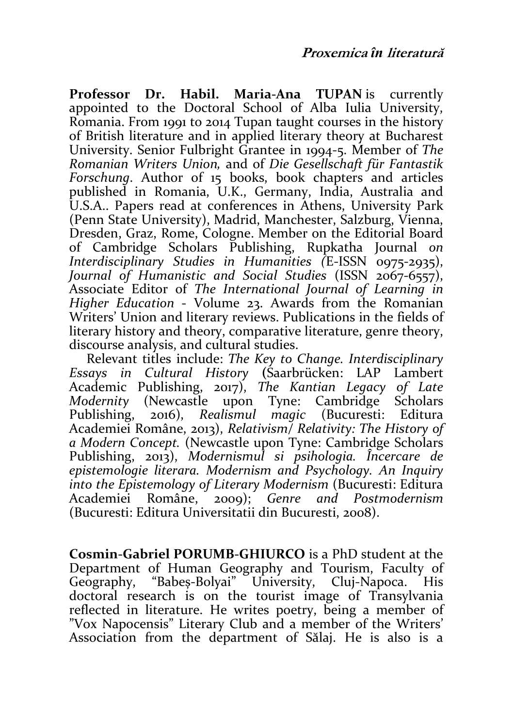Professor Dr. Habil. Maria-Ana TUPAN is currently appointed to the Doctoral School of Alba Iulia University, Romania. From 1991 to 2014 Tupan taught courses in the history of British literature and in applied literary theory at Bucharest University. Senior Fulbright Grantee in 1994-5. Member of The Romanian Writers Union, and of Die Gesellschaft für Fantastik Forschung. Author of 15 books, book chapters and articles published in Romania, U.K., Germany, India, Australia and U.S.A.. Papers read at conferences in Athens, University Park (Penn State University), Madrid, Manchester, Salzburg, Vienna, Dresden, Graz, Rome, Cologne. Member on the Editorial Board of Cambridge Scholars Publishing, Rupkatha Journal on Interdisciplinary Studies in Humanities (E-ISSN 0975-2935). Journal of Humanistic and Social Studies (ISSN 2067-6557), Associate Editor of The International Journal of Learning in Higher Education - Volume 23. Awards from the Romanian Writers' Union and literary reviews. Publications in the fields of literary history and theory, comparative literature, genre theory, discourse analysis, and cultural studies.

Relevant titles include: The Key to Change. Interdisciplinary Essays in Cultural History (Saarbrücken: LAP Lambert Academic Publishing, 2017), The Kantian Legacy of Late Modernity (Newcastle upon Tyne: Cambridge Scholars Publishing, 2016), Realismul magic (Bucuresti: Editura Academiei Române, 2013), Relativism/ Relativity: The History of a Modern Concept. (Newcastle upon Tyne: Cambridge Scholars Publishing, 2013), Modernismul si psihologia. Încercare de epistemologie literara. Modernism and Psychology. An Inquiry into the Epistemology of Literary Modernism (Bucuresti: Editura Academiei Române, 2009); Genre and Postmodernism (Bucuresti: Editura Universitatii din Bucuresti, 2008).

Cosmin-Gabriel PORUMB-GHIURCO is a PhD student at the Department of Human Geography and Tourism, Faculty of Geography, "Babes-Bolyai" University, Cluj-Napoca. His doctoral research is on the tourist image of Transylvania reflected in literature. He writes poetry, being a member of "Vox Napocensis" Literary Club and a member of the Writers' Association from the department of Sălaj. He is also is a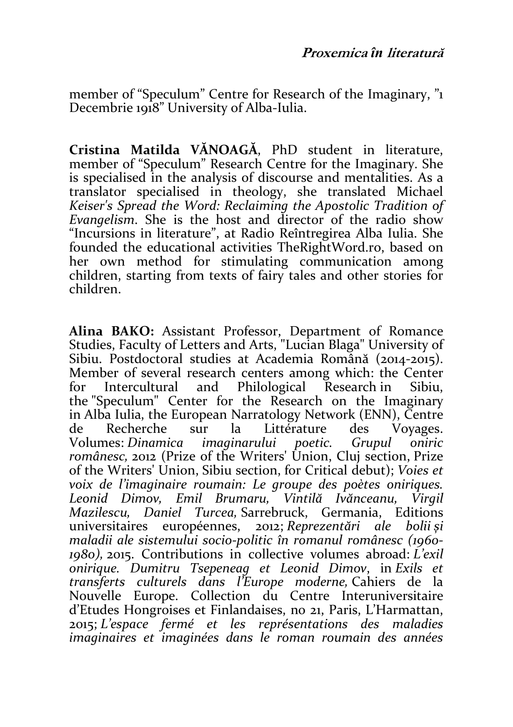member of "Speculum" Centre for Research of the Imaginary, "1 Decembrie 1918" University of Alba-Iulia.

Cristina Matilda VĂNOAGĂ, PhD student in literature, member of "Speculum" Research Centre for the Imaginary. She is specialised in the analysis of discourse and mentalities. As a translator specialised in theology, she translated Michael Keiser's Spread the Word: Reclaiming the Apostolic Tradition of Evangelism. She is the host and director of the radio show "Incursions in literature", at Radio Reîntregirea Alba Iulia. She founded the educational activities TheRightWord.ro, based on her own method for stimulating communication among children, starting from texts of fairy tales and other stories for children.

Alina BAKO: Assistant Professor, Department of Romance Studies, Faculty of Letters and Arts, "Lucian Blaga" University of Sibiu. Postdoctoral studies at Academia Română (2014-2015). Member of several research centers among which: the Center for Intercultural and Philological Research in Sibiu, the "Speculum" Center for the Research on the Imaginary in Alba Iulia, the European Narratology Network (ENN), Centre de Recherche sur la Littérature des Voyages. Volumes: Dinamica imaginarului poetic. Grupul oniric românesc, 2012 (Prize of the Writers' Union, Cluj section, Prize of the Writers' Union, Sibiu section, for Critical debut); Voies et voix de l'imaginaire roumain: Le groupe des poètes oniriques. Leonid Dimov, Emil Brumaru, Vintilă Ivănceanu, Virgil Mazilescu, Daniel Turcea, Sarrebruck, Germania, Editions universitaires européennes, 2012; Reprezentări ale bolii și maladii ale sistemului socio-politic în romanul românesc (1960- 1980), 2015. Contributions in collective volumes abroad: L'exil onirique. Dumitru Tsepeneag et Leonid Dimov, in Exils et transferts culturels dans l'Europe moderne, Cahiers de la Nouvelle Europe. Collection du Centre Interuniversitaire d'Etudes Hongroises et Finlandaises, no 21, Paris, L'Harmattan, 2015; L'espace fermé et les représentations des maladies imaginaires et imaginées dans le roman roumain des années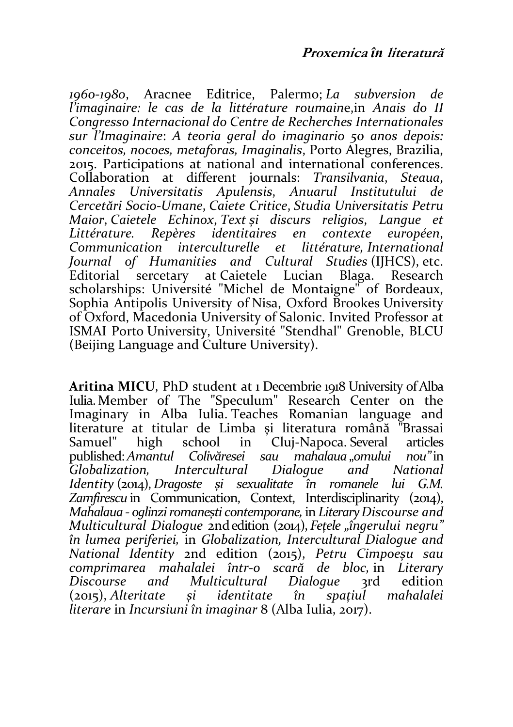1960-1980, Aracnee Editrice, Palermo; La subversion de l'imaginaire: le cas de la littérature roumaine,in Anais do II Congresso Internacional do Centre de Recherches Internationales sur l'Imaginaire: A teoria geral do imaginario 50 anos depois: conceitos, nocoes, metaforas, Imaginalis, Porto Alegres, Brazilia, 2015. Participations at national and international conferences. Collaboration at different journals: Transilvania, Steaua, Annales Universitatis Apulensis, Anuarul Institutului de Cercetări Socio-Umane, Caiete Critice, Studia Universitatis Petru Maior, Caietele Echinox, Text și discurs religios, Langue et Littérature. Repères identitaires en contexte européen, interculturelle et littérature, International Journal of Humanities and Cultural Studies (IJHCS), etc.<br>Editorial sercetary at Caietele Lucian Blaga. Research sercetary at Caietele Lucian scholarships: Université "Michel de Montaigne" of Bordeaux, Sophia Antipolis University of Nisa, Oxford Brookes University of Oxford, Macedonia University of Salonic. Invited Professor at ISMAI Porto University, Université "Stendhal" Grenoble, BLCU (Beijing Language and Culture University).

Aritina MICU, PhD student at 1 Decembrie 1918 University of Alba Iulia. Member of The "Speculum" Research Center on the Imaginary in Alba Iulia. Teaches Romanian language and literature at titular de Limba și literatura română "Brassai<br>Samuel" high school in Clui-Napoca Several articles in Cluj-Napoca. Several articles<br>ei squ mahalaya omului nou"in published: Amantul Colivăresei sau mahala<br>Globalization. Intercultural Dialogue Globalization, Intercultural Dialogue and National Identity (2014), Dragoste și sexualitate în romanele lui G.M. Zamfirescu in Communication, Context, Interdisciplinarity (2014), Mahalaua - oglinzi romanești contemporane, in Literary Discourse and Multicultural Dialogue 2nd edition (2014), Fetele "îngerului negru" în lumea periferiei, in Globalization, Intercultural Dialogue and National Identity 2nd edition (2015), Petru Cimpoeșu sau comprimarea mahalalei într-o scară de bloc, in Literary and Multicultural (2015), Alteritate și identitate în spațiul mahalalei literare in Incursiuni în imaginar 8 (Alba Iulia, 2017).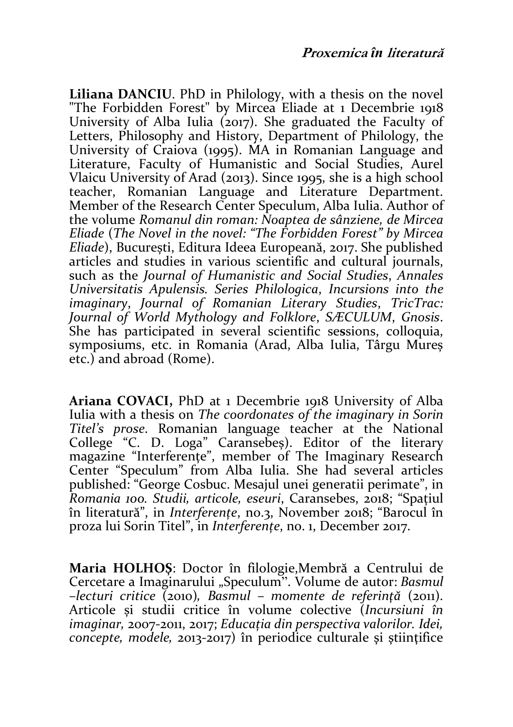Liliana DANCIU. PhD in Philology, with a thesis on the novel "The Forbidden Forest" by Mircea Eliade at 1 Decembrie 1918 University of Alba Iulia (2017). She graduated the Faculty of Letters, Philosophy and History, Department of Philology, the University of Craiova (1995). MA in Romanian Language and Literature, Faculty of Humanistic and Social Studies, Aurel Vlaicu University of Arad (2013). Since 1995, she is a high school teacher, Romanian Language and Literature Department. Member of the Research Center Speculum, Alba Iulia. Author of the volume Romanul din roman: Noaptea de sânziene, de Mircea Eliade (The Novel in the novel: "The Forbidden Forest" by Mircea Eliade), București, Editura Ideea Europeană, 2017. She published articles and studies in various scientific and cultural journals, such as the Journal of Humanistic and Social Studies, Annales Universitatis Apulensis. Series Philologica, Incursions into the imaginary, Journal of Romanian Literary Studies, TricTrac: Journal of World Mythology and Folklore, SÆCULUM, Gnosis. She has participated in several scientific sessions, colloquia, symposiums, etc. in Romania (Arad, Alba Iulia, Târgu Mures etc.) and abroad (Rome).

Ariana COVACI, PhD at 1 Decembrie 1918 University of Alba Iulia with a thesis on The coordonates of the imaginary in Sorin Titel's prose. Romanian language teacher at the National College "C. D. Loga" Caransebeș). Editor of the literary magazine "Interferențe", member of The Imaginary Research Center "Speculum" from Alba Iulia. She had several articles published: "George Cosbuc. Mesajul unei generatii perimate", in Romania 100. Studii, articole, eseuri, Caransebes, 2018; "Spațiul în literatură", in Interferențe, no.3, November 2018; "Barocul în proza lui Sorin Titel", in Interferențe, no. 1, December 2017.

Maria HOLHOŞ: Doctor în filologie,Membră a Centrului de Cercetare a Imaginarului "Speculum". Volume de autor: Basmul  $-$ lecturi critice (2010), Basmul – momente de referință (2011). Articole și studii critice în volume colective (Incursiuni în imaginar, 2007-2011, 2017; Educația din perspectiva valorilor. Idei, concepte, modele, 2013-2017) în periodice culturale și științifice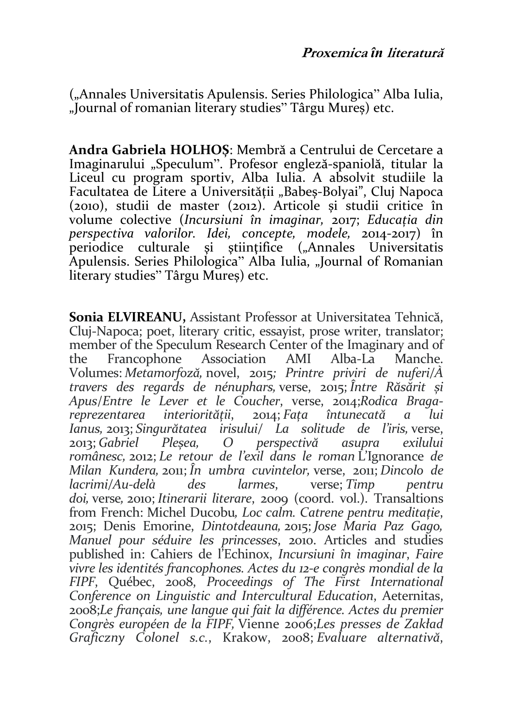("Annales Universitatis Apulensis. Series Philologica" Alba Iulia, "Journal of romanian literary studies" Târgu Mureș) etc.

Andra Gabriela HOLHOȘ: Membră a Centrului de Cercetare a Imaginarului "Speculum". Profesor engleză-spaniolă, titular la Liceul cu program sportiv, Alba Iulia. A absolvit studiile la Facultatea de Litere a Universității "Babes-Bolyai", Clui Napoca (2010), studii de master (2012). Articole și studii critice în volume colective (Incursiuni în imaginar, 2017; Educația din perspectiva valorilor. Idei, concepte, modele, 2014-2017) în periodice culturale si stiintifice ("Annales Universitatis Apulensis. Series Philologica" Alba Iulia, "Journal of Romanian literary studies" Târgu Mureș) etc.

Sonia ELVIREANU, Assistant Professor at Universitatea Tehnică, Cluj-Napoca; poet, literary critic, essayist, prose writer, translator; member of the Speculum Research Center of the Imaginary and of<br>the Francophone Association AMI Alba-La Manche. the Francophone Association AMI Volumes: Metamorfoză, novel, 2015; Printre priviri de nuferi/À travers des regards de nénuphars, verse, 2015; Între Răsărit și Apus/Entre le Lever et le Coucher, verse, 2014;Rodica Bragareprezentarea interiorității, 2014; Fața întunecată a lui Ianus, 2013; Singurătatea irisului/ La solitude de l'iris, verse, 2013; Gabriel Pleșea, O perspectivă asupra exilului românesc, 2012; Le retour de l'exil dans le roman L'Ignorance de Milan Kundera, 2011; În umbra cuvintelor, verse, 2011; Dincolo de lacrimi/Au-delà des larmes, verse; Timp pentru doi, verse, 2010; Itinerarii literare, 2009 (coord. vol.). Transaltions from French: Michel Ducobu, Loc calm. Catrene pentru meditație, 2015; Denis Emorine, Dintotdeauna, 2015; Jose Maria Paz Gago, Manuel pour séduire les princesses, 2010. Articles and studies published in: Cahiers de l'Echinox, Incursiuni în imaginar, Faire vivre les identités francophones. Actes du 12-e congrès mondial de la FIPF, Québec, 2008, Proceedings of The First International Conference on Linguistic and Intercultural Education, Aeternitas, 2008;Le français, une langue qui fait la différence. Actes du premier Congrès européen de la FIPF, Vienne 2006;Les presses de Zakład Graficzny Colonel s.c., Krakow, 2008; Evaluare alternativă,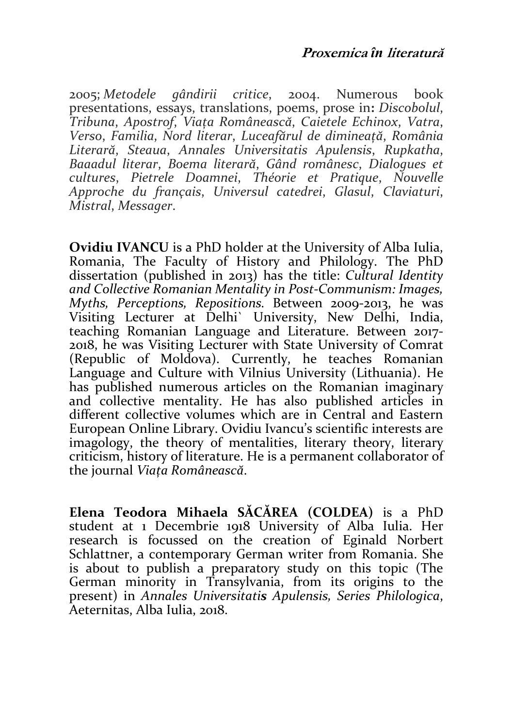2005; Metodele gândirii critice, 2004. Numerous book presentations, essays, translations, poems, prose in: Discobolul, Tribuna, Apostrof, Viața Românească, Caietele Echinox, Vatra, Verso, Familia, Nord literar, Luceafărul de dimineață, România Literară, Steaua, Annales Universitatis Apulensis, Rupkatha, Baaadul literar, Boema literară, Gând românesc, Dialogues et cultures, Pietrele Doamnei, Théorie et Pratique, Nouvelle Approche du français, Universul catedrei, Glasul, Claviaturi, Mistral, Messager.

Ovidiu IVANCU is a PhD holder at the University of Alba Iulia, Romania, The Faculty of History and Philology. The PhD dissertation (published in 2013) has the title: Cultural Identity and Collective Romanian Mentality in Post-Communism: Images, Myths, Perceptions, Repositions. Between 2009-2013, he was Visiting Lecturer at Delhi` University, New Delhi, India, teaching Romanian Language and Literature. Between 2017- 2018, he was Visiting Lecturer with State University of Comrat (Republic of Moldova). Currently, he teaches Romanian Language and Culture with Vilnius University (Lithuania). He has published numerous articles on the Romanian imaginary and collective mentality. He has also published articles in different collective volumes which are in Central and Eastern European Online Library. Ovidiu Ivancu's scientific interests are imagology, the theory of mentalities, literary theory, literary criticism, history of literature. He is a permanent collaborator of the journal Viața Românească.

Elena Teodora Mihaela SĂCĂREA (COLDEA) is a PhD student at 1 Decembrie 1918 University of Alba Iulia. Her research is focussed on the creation of Eginald Norbert Schlattner, a contemporary German writer from Romania. She is about to publish a preparatory study on this topic (The German minority in Transylvania, from its origins to the present) in Annales Universitatis Apulensis, Series Philologica, Aeternitas, Alba Iulia, 2018.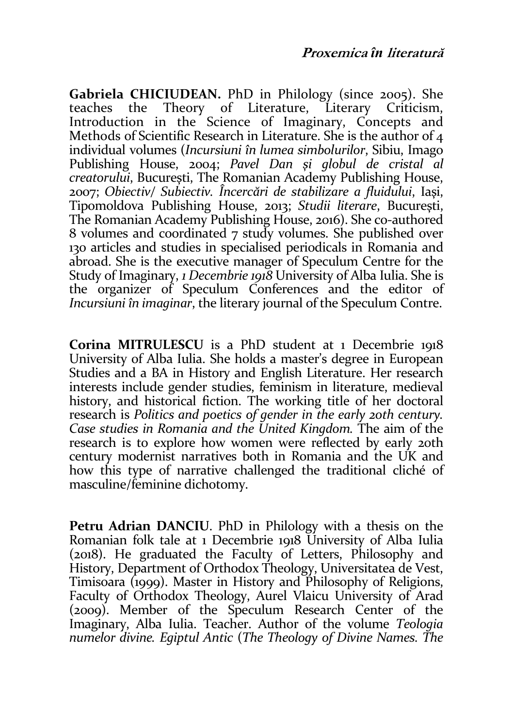Gabriela CHICIUDEAN. PhD in Philology (since 2005). She teaches the Theory of Literature, Literary Criticism, Introduction in the Science of Imaginary, Concepts and Methods of Scientific Research in Literature. She is the author of 4 individual volumes (Incursiuni în lumea simbolurilor, Sibiu, Imago Publishing House, 2004; Pavel Dan şi globul de cristal al creatorului, Bucureşti, The Romanian Academy Publishing House, 2007; Obiectiv/ Subiectiv. Încercări de stabilizare a fluidului, Iaşi, Tipomoldova Publishing House, 2013; Studii literare, Bucureşti, The Romanian Academy Publishing House, 2016). She co-authored 8 volumes and coordinated 7 study volumes. She published over 130 articles and studies in specialised periodicals in Romania and abroad. She is the executive manager of Speculum Centre for the Study of Imaginary, 1 Decembrie 1918 University of Alba Iulia. She is the organizer of Speculum Conferences and the editor of Incursiuni în imaginar, the literary journal of the Speculum Contre.

Corina MITRULESCU is a PhD student at 1 Decembrie 1918 University of Alba Iulia. She holds a master's degree in European Studies and a BA in History and English Literature. Her research interests include gender studies, feminism in literature, medieval history, and historical fiction. The working title of her doctoral research is Politics and poetics of gender in the early 20th century. Case studies in Romania and the United Kingdom. The aim of the research is to explore how women were reflected by early 20th century modernist narratives both in Romania and the UK and how this type of narrative challenged the traditional cliché of masculine/feminine dichotomy.

Petru Adrian DANCIU. PhD in Philology with a thesis on the Romanian folk tale at 1 Decembrie 1918 University of Alba Iulia (2018). He graduated the Faculty of Letters, Philosophy and History, Department of Orthodox Theology, Universitatea de Vest, Timisoara (1999). Master in History and Philosophy of Religions, Faculty of Orthodox Theology, Aurel Vlaicu University of Arad (2009). Member of the Speculum Research Center of the Imaginary, Alba Iulia. Teacher. Author of the volume Teologia numelor divine. Egiptul Antic (The Theology of Divine Names. The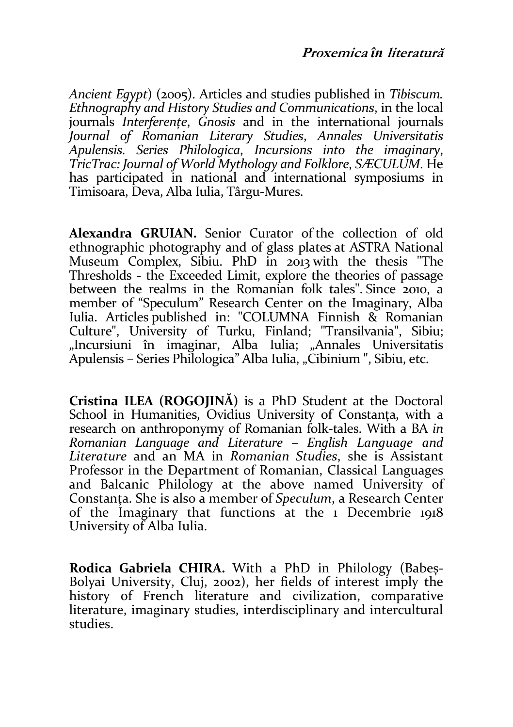Ancient Egypt) (2005). Articles and studies published in Tibiscum. Ethnography and History Studies and Communications, in the local journals *Interferențe*, *Gnosis* and in the international journals Journal of Romanian Literary Studies, Annales Universitatis Apulensis. Series Philologica, Incursions into the imaginary, TricTrac: Journal of World Mythology and Folklore, SÆCULUM. He has participated in national and international symposiums in Timisoara, Deva, Alba Iulia, Târgu-Mures.

Alexandra GRUIAN. Senior Curator of the collection of old ethnographic photography and of glass plates at ASTRA National Museum Complex, Sibiu. PhD in 2013 with the thesis "The Thresholds - the Exceeded Limit, explore the theories of passage between the realms in the Romanian folk tales". Since 2010, a member of "Speculum" Research Center on the Imaginary, Alba Iulia. Articles published in: "COLUMNA Finnish & Romanian Culture", University of Turku, Finland; "Transilvania", Sibiu; "Incursiuni în imaginar, Alba Iulia; "Annales Universitatis Apulensis – Series Philologica" Alba Iulia, "Cibinium ", Sibiu, etc.

Cristina ILEA (ROGOJINĂ) is a PhD Student at the Doctoral School in Humanities, Ovidius University of Constanța, with a research on anthroponymy of Romanian folk-tales. With a BA in Romanian Language and Literature – English Language and Literature and an MA in Romanian Studies, she is Assistant Professor in the Department of Romanian, Classical Languages and Balcanic Philology at the above named University of Constanta. She is also a member of Speculum, a Research Center of the Imaginary that functions at the 1 Decembrie 1918 University of Alba Iulia.

Rodica Gabriela CHIRA. With a PhD in Philology (Babeș-Bolyai University, Cluj, 2002), her fields of interest imply the history of French literature and civilization, comparative literature, imaginary studies, interdisciplinary and intercultural studies.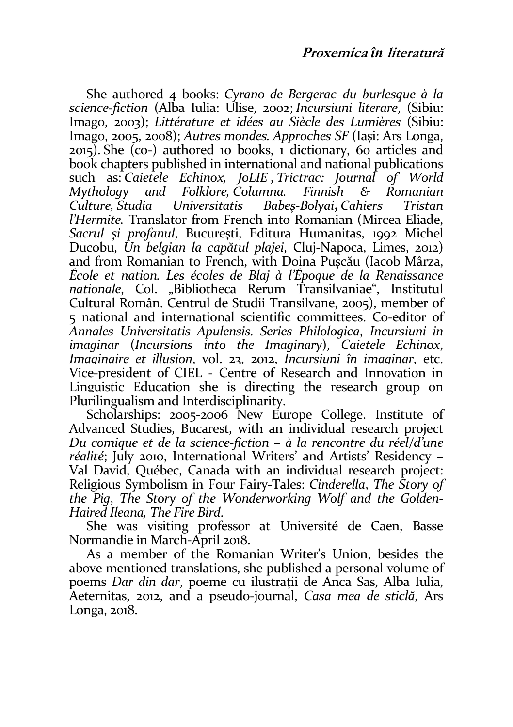She authored 4 books: Cyrano de Bergerac–du burlesque à la science-fiction (Alba Iulia: Ulise, 2002; Incursiuni literare, (Sibiu: Imago, 2003); Littérature et idées au Siècle des Lumières (Sibiu: Imago, 2005, 2008); Autres mondes. Approches SF (Iași: Ars Longa, 2015). She (co-) authored 10 books, 1 dictionary, 60 articles and book chapters published in international and national publications such as: Caietele Echinox, JoLIE , Trictrac: Journal of World Mythology and Folklore, Columna. Finnish & Romanian Babes-Bolvai, Cahiers l'Hermite. Translator from French into Romanian (Mircea Eliade, Sacrul şi profanul, Bucureşti, Editura Humanitas, 1992 Michel Ducobu, Un belgian la capătul plajei, Cluj-Napoca, Limes, 2012) and from Romanian to French, with Doina Puşcău (Iacob Mârza, École et nation. Les écoles de Blaj à l'Époque de la Renaissance nationale, Col. "Bibliotheca Rerum Transilvaniae", Institutul Cultural Român. Centrul de Studii Transilvane, 2005), member of 5 national and international scientific committees. Co-editor of Annales Universitatis Apulensis. Series Philologica, Incursiuni in imaginar (Incursions into the Imaginary), Caietele Echinox, Imaginaire et illusion, vol. 23, 2012, Incursiuni în imaginar, etc. Vice-president of CIEL - Centre of Research and Innovation in Linguistic Education she is directing the research group on Plurilingualism and Interdisciplinarity.

Scholarships: 2005-2006 New Europe College. Institute of Advanced Studies, Bucarest, with an individual research project Du comique et de la science-fiction – à la rencontre du réel/d'une réalité; July 2010, International Writers' and Artists' Residency – Val David, Québec, Canada with an individual research project: Religious Symbolism in Four Fairy-Tales: Cinderella, The Story of the Pig, The Story of the Wonderworking Wolf and the Golden-Haired Ileana, The Fire Bird.

She was visiting professor at Université de Caen, Basse Normandie in March-April 2018.

As a member of the Romanian Writer's Union, besides the above mentioned translations, she published a personal volume of poems Dar din dar, poeme cu ilustrații de Anca Sas, Alba Iulia, Aeternitas, 2012, and a pseudo-journal, Casa mea de sticlă, Ars Longa, 2018.